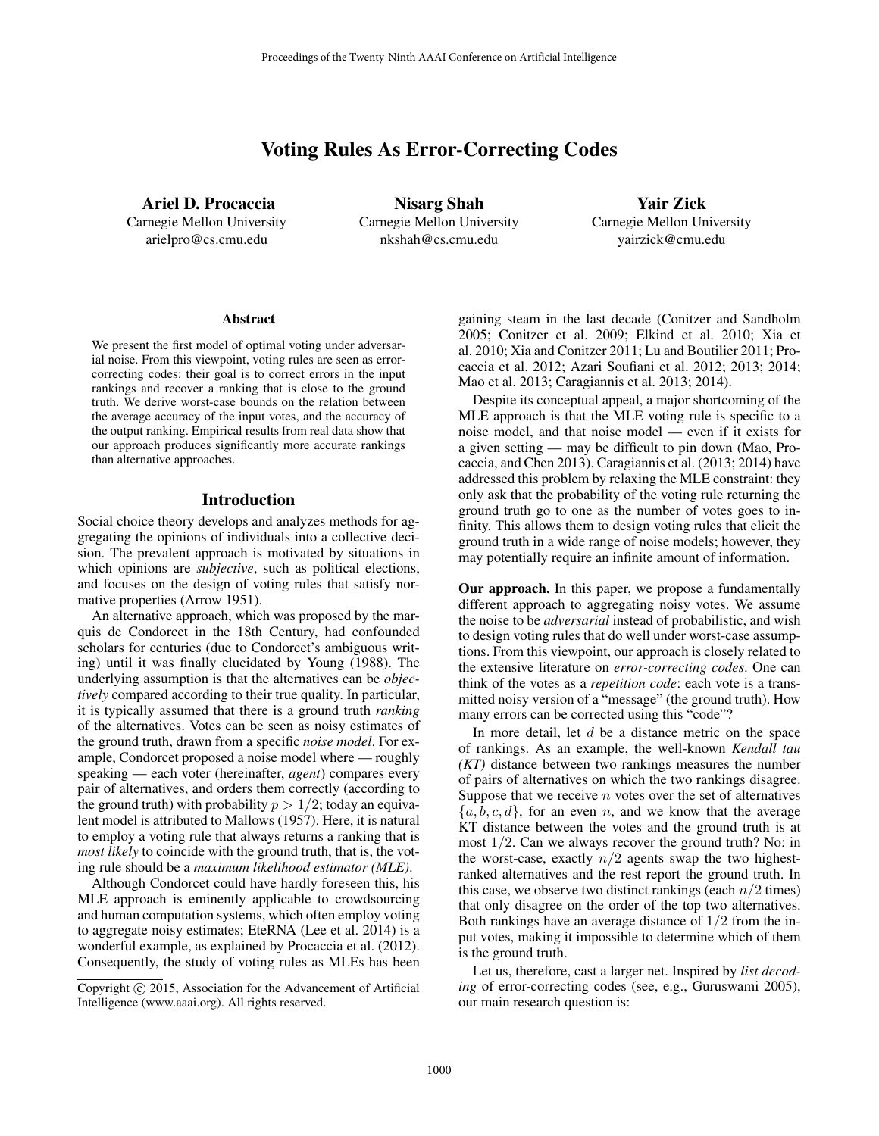# Voting Rules As Error-Correcting Codes

Ariel D. Procaccia Carnegie Mellon University arielpro@cs.cmu.edu

Nisarg Shah Carnegie Mellon University nkshah@cs.cmu.edu

Yair Zick Carnegie Mellon University yairzick@cmu.edu

#### Abstract

We present the first model of optimal voting under adversarial noise. From this viewpoint, voting rules are seen as errorcorrecting codes: their goal is to correct errors in the input rankings and recover a ranking that is close to the ground truth. We derive worst-case bounds on the relation between the average accuracy of the input votes, and the accuracy of the output ranking. Empirical results from real data show that our approach produces significantly more accurate rankings than alternative approaches.

#### Introduction

Social choice theory develops and analyzes methods for aggregating the opinions of individuals into a collective decision. The prevalent approach is motivated by situations in which opinions are *subjective*, such as political elections, and focuses on the design of voting rules that satisfy normative properties (Arrow 1951).

An alternative approach, which was proposed by the marquis de Condorcet in the 18th Century, had confounded scholars for centuries (due to Condorcet's ambiguous writing) until it was finally elucidated by Young (1988). The underlying assumption is that the alternatives can be *objectively* compared according to their true quality. In particular, it is typically assumed that there is a ground truth *ranking* of the alternatives. Votes can be seen as noisy estimates of the ground truth, drawn from a specific *noise model*. For example, Condorcet proposed a noise model where — roughly speaking — each voter (hereinafter, *agent*) compares every pair of alternatives, and orders them correctly (according to the ground truth) with probability  $p > 1/2$ ; today an equivalent model is attributed to Mallows (1957). Here, it is natural to employ a voting rule that always returns a ranking that is *most likely* to coincide with the ground truth, that is, the voting rule should be a *maximum likelihood estimator (MLE)*.

Although Condorcet could have hardly foreseen this, his MLE approach is eminently applicable to crowdsourcing and human computation systems, which often employ voting to aggregate noisy estimates; EteRNA (Lee et al. 2014) is a wonderful example, as explained by Procaccia et al. (2012). Consequently, the study of voting rules as MLEs has been

gaining steam in the last decade (Conitzer and Sandholm 2005; Conitzer et al. 2009; Elkind et al. 2010; Xia et al. 2010; Xia and Conitzer 2011; Lu and Boutilier 2011; Procaccia et al. 2012; Azari Soufiani et al. 2012; 2013; 2014; Mao et al. 2013; Caragiannis et al. 2013; 2014).

Despite its conceptual appeal, a major shortcoming of the MLE approach is that the MLE voting rule is specific to a noise model, and that noise model — even if it exists for a given setting — may be difficult to pin down (Mao, Procaccia, and Chen 2013). Caragiannis et al. (2013; 2014) have addressed this problem by relaxing the MLE constraint: they only ask that the probability of the voting rule returning the ground truth go to one as the number of votes goes to infinity. This allows them to design voting rules that elicit the ground truth in a wide range of noise models; however, they may potentially require an infinite amount of information.

Our approach. In this paper, we propose a fundamentally different approach to aggregating noisy votes. We assume the noise to be *adversarial* instead of probabilistic, and wish to design voting rules that do well under worst-case assumptions. From this viewpoint, our approach is closely related to the extensive literature on *error-correcting codes*. One can think of the votes as a *repetition code*: each vote is a transmitted noisy version of a "message" (the ground truth). How many errors can be corrected using this "code"?

In more detail, let  $d$  be a distance metric on the space of rankings. As an example, the well-known *Kendall tau (KT)* distance between two rankings measures the number of pairs of alternatives on which the two rankings disagree. Suppose that we receive  $n$  votes over the set of alternatives  ${a, b, c, d}$ , for an even n, and we know that the average KT distance between the votes and the ground truth is at most  $1/2$ . Can we always recover the ground truth? No: in the worst-case, exactly  $n/2$  agents swap the two highestranked alternatives and the rest report the ground truth. In this case, we observe two distinct rankings (each  $n/2$  times) that only disagree on the order of the top two alternatives. Both rankings have an average distance of 1/2 from the input votes, making it impossible to determine which of them is the ground truth.

Let us, therefore, cast a larger net. Inspired by *list decoding* of error-correcting codes (see, e.g., Guruswami 2005), our main research question is:

Copyright  $\odot$  2015, Association for the Advancement of Artificial Intelligence (www.aaai.org). All rights reserved.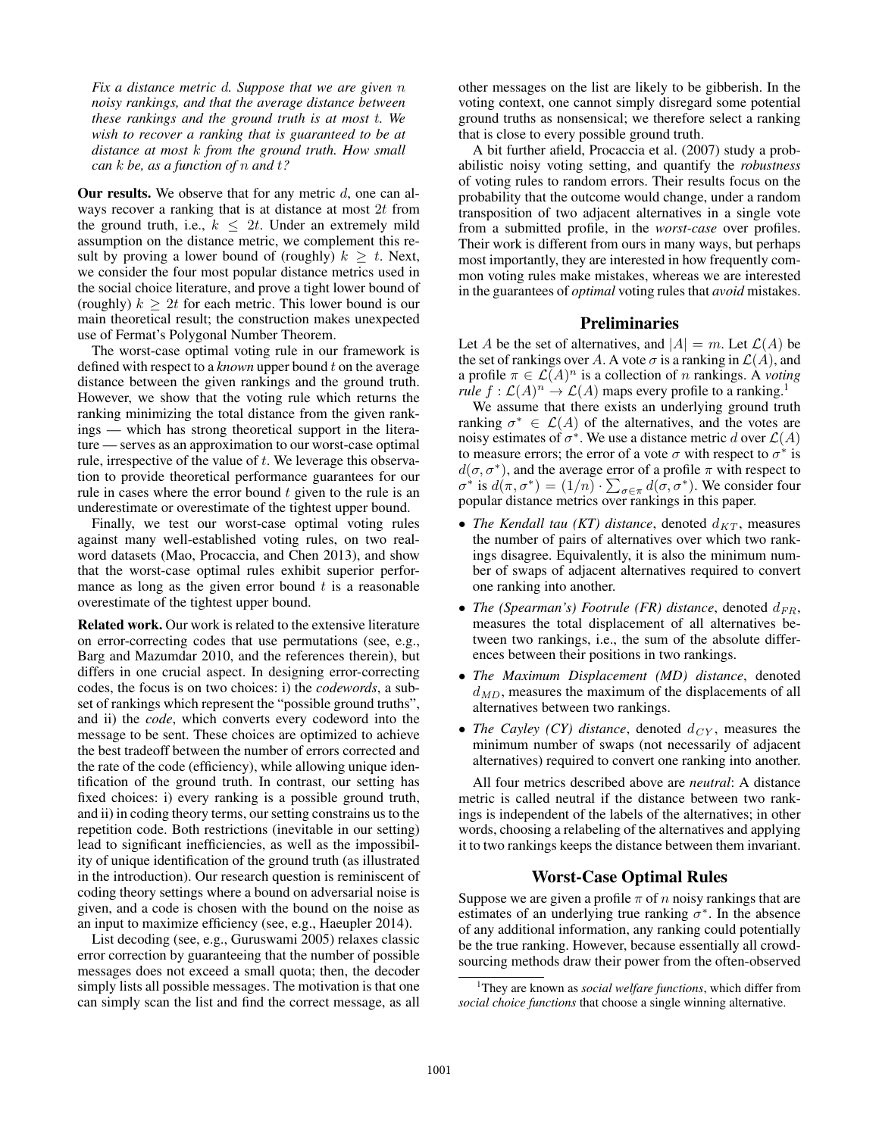*Fix a distance metric* d*. Suppose that we are given* n *noisy rankings, and that the average distance between these rankings and the ground truth is at most* t*. We wish to recover a ranking that is guaranteed to be at distance at most* k *from the ground truth. How small can* k *be, as a function of* n *and* t*?*

Our results. We observe that for any metric  $d$ , one can always recover a ranking that is at distance at most 2t from the ground truth, i.e.,  $k \leq 2t$ . Under an extremely mild assumption on the distance metric, we complement this result by proving a lower bound of (roughly)  $k \geq t$ . Next, we consider the four most popular distance metrics used in the social choice literature, and prove a tight lower bound of (roughly)  $k \geq 2t$  for each metric. This lower bound is our main theoretical result; the construction makes unexpected use of Fermat's Polygonal Number Theorem.

The worst-case optimal voting rule in our framework is defined with respect to a *known* upper bound t on the average distance between the given rankings and the ground truth. However, we show that the voting rule which returns the ranking minimizing the total distance from the given rankings — which has strong theoretical support in the literature — serves as an approximation to our worst-case optimal rule, irrespective of the value of  $t$ . We leverage this observation to provide theoretical performance guarantees for our rule in cases where the error bound  $t$  given to the rule is an underestimate or overestimate of the tightest upper bound.

Finally, we test our worst-case optimal voting rules against many well-established voting rules, on two realword datasets (Mao, Procaccia, and Chen 2013), and show that the worst-case optimal rules exhibit superior performance as long as the given error bound  $t$  is a reasonable overestimate of the tightest upper bound.

Related work. Our work is related to the extensive literature on error-correcting codes that use permutations (see, e.g., Barg and Mazumdar 2010, and the references therein), but differs in one crucial aspect. In designing error-correcting codes, the focus is on two choices: i) the *codewords*, a subset of rankings which represent the "possible ground truths", and ii) the *code*, which converts every codeword into the message to be sent. These choices are optimized to achieve the best tradeoff between the number of errors corrected and the rate of the code (efficiency), while allowing unique identification of the ground truth. In contrast, our setting has fixed choices: i) every ranking is a possible ground truth, and ii) in coding theory terms, our setting constrains us to the repetition code. Both restrictions (inevitable in our setting) lead to significant inefficiencies, as well as the impossibility of unique identification of the ground truth (as illustrated in the introduction). Our research question is reminiscent of coding theory settings where a bound on adversarial noise is given, and a code is chosen with the bound on the noise as an input to maximize efficiency (see, e.g., Haeupler 2014).

List decoding (see, e.g., Guruswami 2005) relaxes classic error correction by guaranteeing that the number of possible messages does not exceed a small quota; then, the decoder simply lists all possible messages. The motivation is that one can simply scan the list and find the correct message, as all

other messages on the list are likely to be gibberish. In the voting context, one cannot simply disregard some potential ground truths as nonsensical; we therefore select a ranking that is close to every possible ground truth.

A bit further afield, Procaccia et al. (2007) study a probabilistic noisy voting setting, and quantify the *robustness* of voting rules to random errors. Their results focus on the probability that the outcome would change, under a random transposition of two adjacent alternatives in a single vote from a submitted profile, in the *worst-case* over profiles. Their work is different from ours in many ways, but perhaps most importantly, they are interested in how frequently common voting rules make mistakes, whereas we are interested in the guarantees of *optimal* voting rules that *avoid* mistakes.

#### Preliminaries

Let A be the set of alternatives, and  $|A| = m$ . Let  $\mathcal{L}(A)$  be the set of rankings over A. A vote  $\sigma$  is a ranking in  $\mathcal{L}(A)$ , and a profile  $\pi \in \mathcal{L}(A)^n$  is a collection of n rankings. A *voting rule*  $f: \mathcal{L}(A)^n \to \mathcal{L}(A)$  maps every profile to a ranking.<sup>1</sup>

We assume that there exists an underlying ground truth ranking  $\sigma^* \in \mathcal{L}(A)$  of the alternatives, and the votes are noisy estimates of  $\sigma^*$ . We use a distance metric d over  $\mathcal{L}(A)$ to measure errors; the error of a vote  $\sigma$  with respect to  $\sigma^*$  is  $d(\sigma, \sigma^*)$ , and the average error of a profile  $\pi$  with respect to  $\sigma^*$  is  $d(\pi, \sigma^*) = (1/n) \cdot \sum_{\sigma \in \pi} d(\sigma, \sigma^*)$ . We consider four popular distance metrics over rankings in this paper.

- *The Kendall tau (KT) distance*, denoted  $d_{KT}$ , measures the number of pairs of alternatives over which two rankings disagree. Equivalently, it is also the minimum number of swaps of adjacent alternatives required to convert one ranking into another.
- *The (Spearman's) Footrule (FR) distance*, denoted  $d_{FR}$ , measures the total displacement of all alternatives between two rankings, i.e., the sum of the absolute differences between their positions in two rankings.
- *The Maximum Displacement (MD) distance*, denoted  $d_{MD}$ , measures the maximum of the displacements of all alternatives between two rankings.
- *The Cayley (CY) distance*, denoted  $d_{CY}$ , measures the minimum number of swaps (not necessarily of adjacent alternatives) required to convert one ranking into another.

All four metrics described above are *neutral*: A distance metric is called neutral if the distance between two rankings is independent of the labels of the alternatives; in other words, choosing a relabeling of the alternatives and applying it to two rankings keeps the distance between them invariant.

## Worst-Case Optimal Rules

Suppose we are given a profile  $\pi$  of n noisy rankings that are estimates of an underlying true ranking  $\sigma^*$ . In the absence of any additional information, any ranking could potentially be the true ranking. However, because essentially all crowdsourcing methods draw their power from the often-observed

<sup>1</sup>They are known as *social welfare functions*, which differ from *social choice functions* that choose a single winning alternative.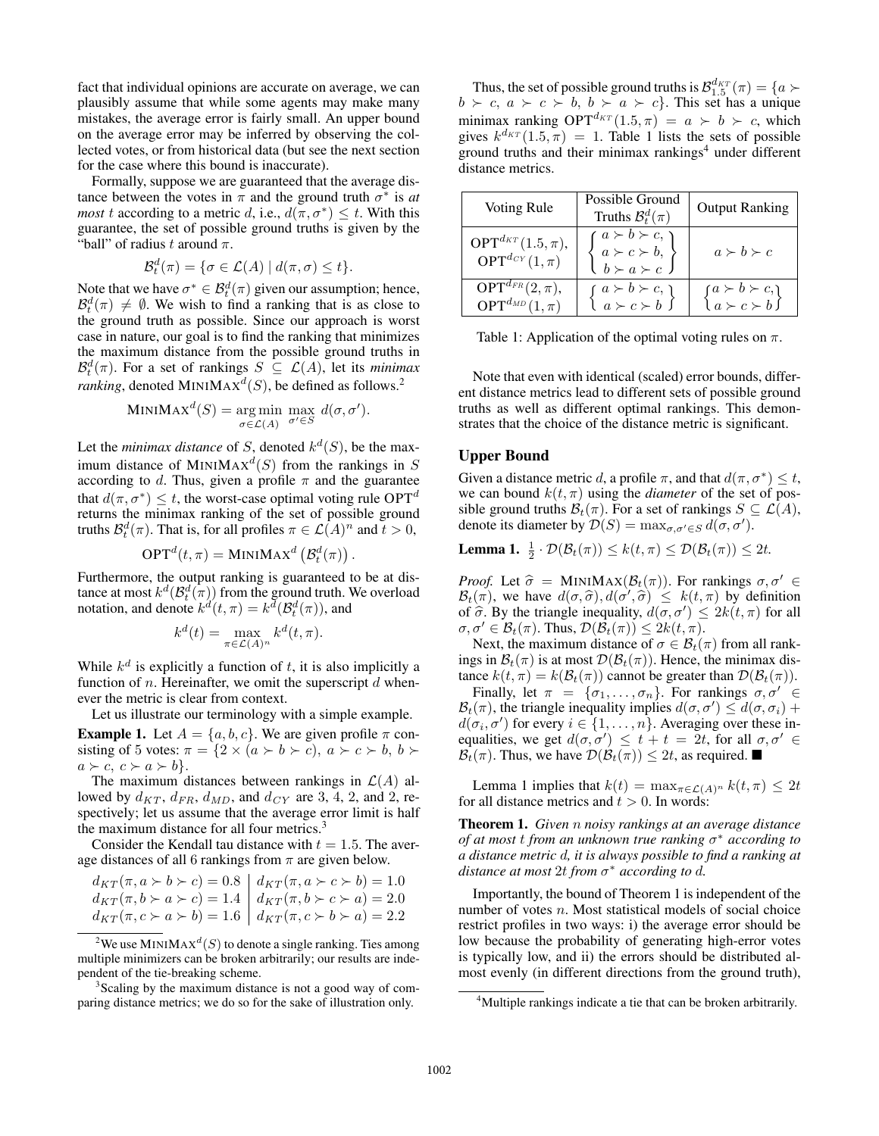fact that individual opinions are accurate on average, we can plausibly assume that while some agents may make many mistakes, the average error is fairly small. An upper bound on the average error may be inferred by observing the collected votes, or from historical data (but see the next section for the case where this bound is inaccurate).

Formally, suppose we are guaranteed that the average distance between the votes in  $\pi$  and the ground truth  $\sigma^*$  is *at most* t according to a metric d, i.e.,  $d(\pi, \sigma^*) \leq t$ . With this guarantee, the set of possible ground truths is given by the "ball" of radius t around  $\pi$ .

$$
\mathcal{B}_t^d(\pi) = \{ \sigma \in \mathcal{L}(A) \mid d(\pi, \sigma) \le t \}.
$$

Note that we have  $\sigma^* \in \mathcal{B}_t^d(\pi)$  given our assumption; hence,  $\mathcal{B}_t^d(\pi) \neq \emptyset$ . We wish to find a ranking that is as close to the ground truth as possible. Since our approach is worst case in nature, our goal is to find the ranking that minimizes the maximum distance from the possible ground truths in  $\mathcal{B}_t^d(\pi)$ . For a set of rankings  $S \subseteq \mathcal{L}(A)$ , let its *minimax ranking*, denoted MINIMAX<sup>d</sup>(S), be defined as follows.<sup>2</sup>

MINIMAX<sup>d</sup>(S) = arg min max 
$$
d(\sigma, \sigma')
$$
.  

$$
\sigma \in \mathcal{L}(A) \quad \sigma' \in S \quad d(\sigma, \sigma').
$$

Let the *minimax distance* of S, denoted  $k^d(S)$ , be the maximum distance of MINIMAX<sup>d</sup>(S) from the rankings in S according to d. Thus, given a profile  $\pi$  and the guarantee that  $d(\pi, \sigma^*) \leq t$ , the worst-case optimal voting rule OPT<sup>d</sup> returns the minimax ranking of the set of possible ground truths  $\mathcal{B}_t^d(\pi)$ . That is, for all profiles  $\pi \in \mathcal{L}(A)^n$  and  $t > 0$ ,

$$
OPTd(t, \pi) = MINIMAXd (\mathcal{B}_td(\pi)).
$$

Furthermore, the output ranking is guaranteed to be at distance at most  $k^d(\mathcal{B}_t^d(\pi))$  from the ground truth. We overload notation, and denote  $k^d(t, \pi) = k^d(\mathcal{B}_t^d(\pi))$ , and

$$
k^{d}(t) = \max_{\pi \in \mathcal{L}(A)^{n}} k^{d}(t, \pi).
$$

While  $k^d$  is explicitly a function of t, it is also implicitly a function of *n*. Hereinafter, we omit the superscript  $d$  whenever the metric is clear from context.

Let us illustrate our terminology with a simple example.

**Example 1.** Let  $A = \{a, b, c\}$ . We are given profile  $\pi$  consisting of 5 votes:  $\pi = \{2 \times (a \succ b \succ c), a \succ c \succ b, b \succ c\}$  $a \succ c, c \succ a \succ b$ .

The maximum distances between rankings in  $\mathcal{L}(A)$  allowed by  $d_{KT}$ ,  $d_{FR}$ ,  $d_{MD}$ , and  $d_{CY}$  are 3, 4, 2, and 2, respectively; let us assume that the average error limit is half the maximum distance for all four metrics.<sup>3</sup>

Consider the Kendall tau distance with  $t = 1.5$ . The average distances of all 6 rankings from  $\pi$  are given below.

$$
\begin{aligned}\nd_{KT}(\pi, a \succ b \succ c) &= 0.8 \\
d_{KT}(\pi, b \succ a \succ c) &= 1.4 \\
d_{KT}(\pi, b \succ a \succ b) &= 1.6 \\
d_{KT}(\pi, c \succ a \succ b) &= 1.6\n\end{aligned}\n\quad\n\begin{aligned}\nd_{KT}(\pi, a \succ c \succ b) &= 1.0 \\
d_{KT}(\pi, b \succ c \succ a) &= 2.0 \\
d_{KT}(\pi, c \succ b \succ a) &= 2.2\n\end{aligned}
$$

Thus, the set of possible ground truths is  $\mathcal{B}_{1.5}^{d_{KT}}(\pi) = \{a \succ a\}$  $b \succ c, a \succ c \succ b, b \succ a \succ c$ . This set has a unique minimax ranking  $OPT^{d_{KT}}(1.5, \pi) = a \succ b \succ c$ , which gives  $k^{d_{KT}}(1.5, \pi) = 1$ . Table 1 lists the sets of possible ground truths and their minimax rankings<sup>4</sup> under different distance metrics.

| Voting Rule                                                     | Possible Ground<br>Truths $\mathcal{B}_t^d(\pi)$                                                                           | <b>Output Ranking</b>                                                                           |
|-----------------------------------------------------------------|----------------------------------------------------------------------------------------------------------------------------|-------------------------------------------------------------------------------------------------|
| $OPT^{d_{KT}}(1.5, \pi),$<br>$\text{OPT}^{d_{CY}}(1,\pi)$       | $a \succ b \succ c$ , )<br>$\left\{\n \begin{array}{l}\n a \succ c \succ b, \\  b \succ a \succ c\n \end{array}\n\right\}$ | $a \succ b \succ c$                                                                             |
| $\mathbf{OPT}^{d_{FR}}(2,\pi),$<br>$\text{OPT}^{d_{MD}}(1,\pi)$ | $\left\{\n \begin{array}{l}\n a \succ b \succ c, \\  a \succ c \succ b\n \end{array}\n\right\}$                            | $\left\{\n \begin{array}{l}\n a \succ b \succ c, \\  a \succ c \succ b\n \end{array}\n\right\}$ |

Table 1: Application of the optimal voting rules on  $\pi$ .

Note that even with identical (scaled) error bounds, different distance metrics lead to different sets of possible ground truths as well as different optimal rankings. This demonstrates that the choice of the distance metric is significant.

#### Upper Bound

Given a distance metric d, a profile  $\pi$ , and that  $d(\pi, \sigma^*) \leq t$ , we can bound  $k(t, \pi)$  using the *diameter* of the set of possible ground truths  $\mathcal{B}_t(\pi)$ . For a set of rankings  $S \subseteq \mathcal{L}(A)$ , denote its diameter by  $\mathcal{D}(S) = \max_{\sigma, \sigma' \in S} d(\sigma, \sigma').$ 

**Lemma 1.**  $\frac{1}{2} \cdot \mathcal{D}(\mathcal{B}_t(\pi)) \leq k(t, \pi) \leq \mathcal{D}(\mathcal{B}_t(\pi)) \leq 2t$ .

*Proof.* Let  $\hat{\sigma} = \text{MINIMAX}(\mathcal{B}_t(\pi))$ . For rankings  $\sigma, \sigma' \in$  $\mathcal{B}_t(\pi)$ , we have  $d(\sigma, \hat{\sigma}), d(\sigma', \hat{\sigma}) \leq k(t, \pi)$  by definition<br>of  $\hat{\sigma}$ . By the triangle inequality  $d(\sigma, \sigma') < 2k(t, \pi)$  for all of  $\hat{\sigma}$ . By the triangle inequality,  $d(\sigma, \sigma') \leq 2k(t, \pi)$  for all  $\sigma, \sigma' \in \mathcal{B}(\pi)$ . Thus  $\mathcal{D}(\mathcal{B}(\pi)) \leq 2k(t, \pi)$  $\sigma, \sigma' \in \mathcal{B}_t(\pi)$ . Thus,  $\mathcal{D}(\mathcal{B}_t(\pi)) \leq 2k(t, \pi)$ .

Next, the maximum distance of  $\sigma \in \mathcal{B}_t(\pi)$  from all rankings in  $\mathcal{B}_t(\pi)$  is at most  $\mathcal{D}(\mathcal{B}_t(\pi))$ . Hence, the minimax distance  $k(t, \pi) = k(\mathcal{B}_t(\pi))$  cannot be greater than  $\mathcal{D}(\mathcal{B}_t(\pi))$ .

Finally, let  $\pi = {\sigma_1, \ldots, \sigma_n}$ . For rankings  $\sigma, \sigma' \in$  $\mathcal{B}_t(\pi)$ , the triangle inequality implies  $d(\sigma, \sigma') \leq d(\sigma, \sigma_i) +$  $d(\sigma_i, \sigma')$  for every  $i \in \{1, \ldots, n\}$ . Averaging over these inequalities, we get  $d(\sigma, \sigma') \leq t + t = 2t$ , for all  $\sigma, \sigma' \in$  $\mathcal{B}_t(\pi)$ . Thus, we have  $\mathcal{D}(\mathcal{B}_t(\pi)) \leq 2t$ , as required.

Lemma 1 implies that  $k(t) = \max_{\pi \in \mathcal{L}(A)^n} k(t, \pi) \leq 2t$ for all distance metrics and  $t > 0$ . In words:

Theorem 1. *Given* n *noisy rankings at an average distance of at most* t *from an unknown true ranking* σ <sup>∗</sup> *according to a distance metric* d*, it is always possible to find a ranking at distance at most* 2t *from* σ <sup>∗</sup> *according to* d*.*

Importantly, the bound of Theorem 1 is independent of the number of votes  $n$ . Most statistical models of social choice restrict profiles in two ways: i) the average error should be low because the probability of generating high-error votes is typically low, and ii) the errors should be distributed almost evenly (in different directions from the ground truth),

<sup>&</sup>lt;sup>2</sup>We use MINIMAX<sup>d</sup>(S) to denote a single ranking. Ties among multiple minimizers can be broken arbitrarily; our results are independent of the tie-breaking scheme.

<sup>&</sup>lt;sup>3</sup>Scaling by the maximum distance is not a good way of comparing distance metrics; we do so for the sake of illustration only.

<sup>&</sup>lt;sup>4</sup>Multiple rankings indicate a tie that can be broken arbitrarily.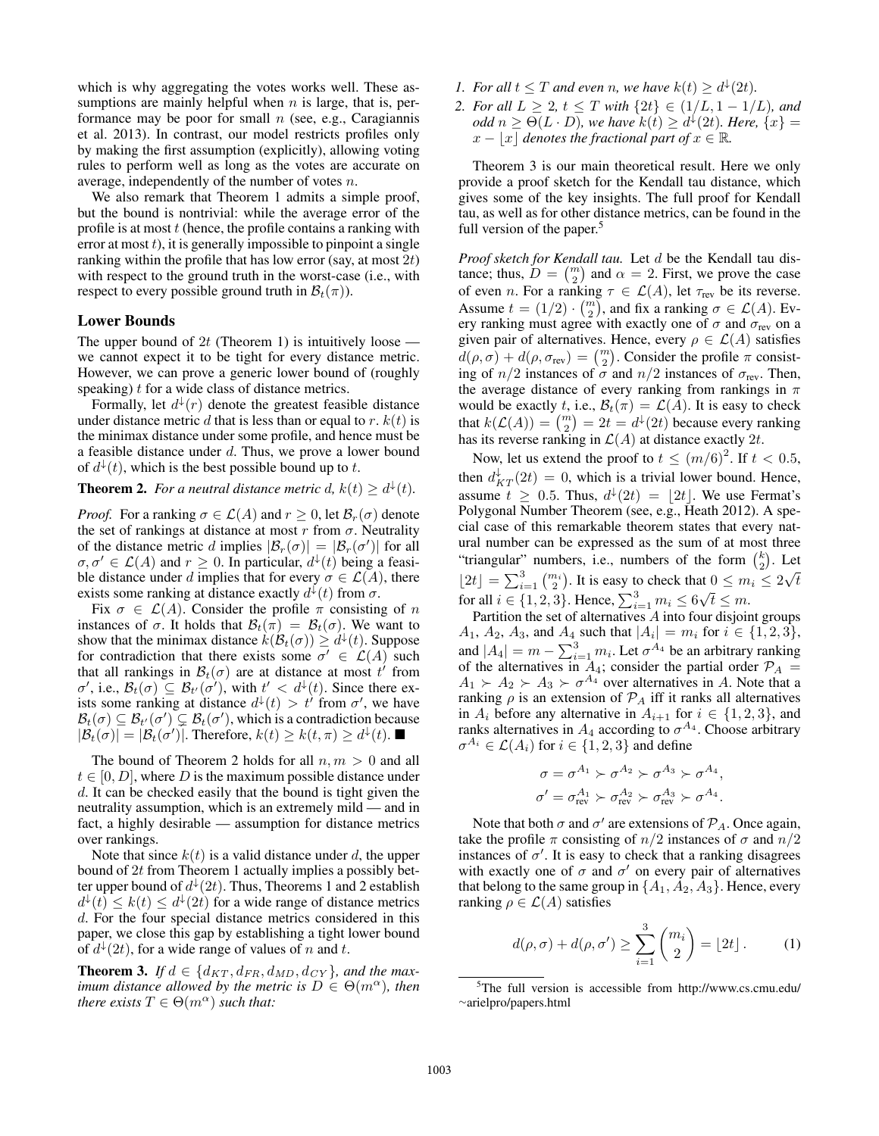which is why aggregating the votes works well. These assumptions are mainly helpful when  $n$  is large, that is, performance may be poor for small  $n$  (see, e.g., Caragiannis et al. 2013). In contrast, our model restricts profiles only by making the first assumption (explicitly), allowing voting rules to perform well as long as the votes are accurate on average, independently of the number of votes n.

We also remark that Theorem 1 admits a simple proof, but the bound is nontrivial: while the average error of the profile is at most  $t$  (hence, the profile contains a ranking with error at most  $t$ ), it is generally impossible to pinpoint a single ranking within the profile that has low error (say, at most  $2t$ ) with respect to the ground truth in the worst-case (i.e., with respect to every possible ground truth in  $\mathcal{B}_t(\pi)$ ).

#### Lower Bounds

The upper bound of 2t (Theorem 1) is intuitively loose we cannot expect it to be tight for every distance metric. However, we can prove a generic lower bound of (roughly speaking)  $t$  for a wide class of distance metrics.

Formally, let  $d^{\downarrow}(r)$  denote the greatest feasible distance under distance metric d that is less than or equal to r.  $k(t)$  is the minimax distance under some profile, and hence must be a feasible distance under d. Thus, we prove a lower bound of  $d^{\downarrow}(t)$ , which is the best possible bound up to t.

**Theorem 2.** For a neutral distance metric d,  $k(t) \geq d^{\downarrow}(t)$ .

*Proof.* For a ranking  $\sigma \in \mathcal{L}(A)$  and  $r \geq 0$ , let  $\mathcal{B}_r(\sigma)$  denote the set of rankings at distance at most r from  $\sigma$ . Neutrality of the distance metric d implies  $|\mathcal{B}_r(\sigma)| = |\mathcal{B}_r(\sigma')|$  for all  $\sigma, \sigma' \in \mathcal{L}(A)$  and  $r \geq 0$ . In particular,  $d^{\downarrow}(t)$  being a feasible distance under d implies that for every  $\sigma \in \mathcal{L}(A)$ , there exists some ranking at distance exactly  $d^{\downarrow}(t)$  from  $\sigma$ .

Fix  $\sigma \in \mathcal{L}(A)$ . Consider the profile  $\pi$  consisting of n instances of  $\sigma$ . It holds that  $\mathcal{B}_t(\pi) = \mathcal{B}_t(\sigma)$ . We want to show that the minimax distance  $k(\mathcal{B}_t(\sigma)) \geq d^{\downarrow}(t)$ . Suppose for contradiction that there exists some  $\sigma' \in \mathcal{L}(A)$  such that all rankings in  $\mathcal{B}_t(\sigma)$  are at distance at most  $t'$  from  $\sigma'$ , i.e.,  $\mathcal{B}_t(\sigma) \subseteq \mathcal{B}_{t'}(\sigma')$ , with  $t' < d^{\downarrow}(t)$ . Since there exists some ranking at distance  $d^{\downarrow}(t) > t'$  from  $\sigma'$ , we have  $\mathcal{B}_t(\sigma) \subseteq \mathcal{B}_{t'}(\sigma') \subsetneq \mathcal{B}_t(\sigma')$ , which is a contradiction because  $|\mathcal{B}_t(\sigma)| = |\mathcal{B}_t(\sigma')|$ . Therefore,  $k(t) \geq k(t, \pi) \geq d^{\downarrow}(t)$ .

The bound of Theorem 2 holds for all  $n, m > 0$  and all  $t \in [0, D]$ , where D is the maximum possible distance under d. It can be checked easily that the bound is tight given the neutrality assumption, which is an extremely mild — and in fact, a highly desirable — assumption for distance metrics over rankings.

Note that since  $k(t)$  is a valid distance under d, the upper bound of 2t from Theorem 1 actually implies a possibly better upper bound of  $d^{\downarrow}(2t)$ . Thus, Theorems 1 and 2 establish  $d^{\downarrow}(t) \leq k(t) \leq d^{\downarrow}(2t)$  for a wide range of distance metrics d. For the four special distance metrics considered in this paper, we close this gap by establishing a tight lower bound of  $d^{\downarrow}(2t)$ , for a wide range of values of n and t.

**Theorem 3.** If  $d \in \{d_{KT}, d_{FR}, d_{MD}, d_{CY}\}$ , and the max*imum distance allowed by the metric is*  $D \in \Theta(m^{\alpha})$ *, then there exists*  $T \in \Theta(m^{\alpha})$  *such that:* 

- *1. For all*  $t \leq T$  *and even n, we have*  $k(t) \geq d^{\downarrow}(2t)$ *.*
- *2. For all*  $L \geq 2$ ,  $t \leq T$  *with*  $\{2t\} \in (1/L, 1 1/L)$ *, and odd*  $n \ge \Theta(L \cdot D)$ *, we have*  $k(t) \ge d^{\downarrow}(2t)$ *. Here,*  $\{x\} =$  $x - |x|$  denotes the fractional part of  $x \in \mathbb{R}$ .

Theorem 3 is our main theoretical result. Here we only provide a proof sketch for the Kendall tau distance, which gives some of the key insights. The full proof for Kendall tau, as well as for other distance metrics, can be found in the full version of the paper.<sup>5</sup>

*Proof sketch for Kendall tau.* Let d be the Kendall tau distance; thus,  $D = \binom{m}{2}$  and  $\alpha = 2$ . First, we prove the case of even *n*. For a ranking  $\tau \in \mathcal{L}(A)$ , let  $\tau_{rev}$  be its reverse. Assume  $t = (1/2) \cdot {m \choose 2}$ , and fix a ranking  $\sigma \in \mathcal{L}(A)$ . Every ranking must agree with exactly one of  $\sigma$  and  $\sigma_{rev}$  on a given pair of alternatives. Hence, every  $\rho \in \mathcal{L}(A)$  satisfies  $d(\rho, \sigma) + d(\rho, \sigma_{\text{rev}}) = \binom{m}{2}$ . Consider the profile  $\pi$  consisting of  $n/2$  instances of  $\sigma$  and  $n/2$  instances of  $\sigma_{rev}$ . Then, the average distance of every ranking from rankings in  $\pi$ would be exactly t, i.e.,  $\mathcal{B}_t(\pi) = \mathcal{L}(A)$ . It is easy to check that  $k(\mathcal{L}(A)) = \binom{m}{2} = 2t = d^{\downarrow}(2t)$  because every ranking has its reverse ranking in  $\mathcal{L}(A)$  at distance exactly  $2t$ .

Now, let us extend the proof to  $t \leq (m/6)^2$ . If  $t < 0.5$ , then  $d_{KT}^{\downarrow}(2t) = 0$ , which is a trivial lower bound. Hence, assume  $t \geq 0.5$ . Thus,  $d^{\downarrow}(2t) = \lfloor 2t \rfloor$ . We use Fermat's Polygonal Number Theorem (see, e.g., Heath 2012). A special case of this remarkable theorem states that every natural number can be expressed as the sum of at most three "triangular" numbers, i.e., numbers of the form  $\binom{k}{2}$ . Let 2  $\lfloor 2t \rfloor = \sum_{i=1}^{3} \binom{m_i}{2}$ . It is easy to check that  $0 \leq m_i \leq 2$ √ t for all  $i \in \{1, 2, 3\}$ . Hence,  $\sum_{i=1}^{3} m_i \le 6$ √  $\overline{t} \leq m$ .

Partition the set of alternatives  $\overline{A}$  into four disjoint groups  $A_1, A_2, A_3$ , and  $A_4$  such that  $|A_i| = m_i$  for  $i \in \{1, 2, 3\}$ , and  $|A_4| = m - \sum_{i=1}^3 m_i$ . Let  $\sigma^{A_4}$  be an arbitrary ranking of the alternatives in  $A_4$ ; consider the partial order  $\mathcal{P}_A$  =  $A_1 \succ A_2 \succ A_3 \succ \sigma^{A_4}$  over alternatives in A. Note that a ranking  $\rho$  is an extension of  $\mathcal{P}_A$  iff it ranks all alternatives in  $A_i$  before any alternative in  $A_{i+1}$  for  $i \in \{1,2,3\}$ , and ranks alternatives in  $A_4$  according to  $\sigma^{A_4}$ . Choose arbitrary  $\sigma^{A_i} \in \mathcal{L}(A_i)$  for  $i \in \{1, 2, 3\}$  and define

$$
\sigma = \sigma^{A_1} \succ \sigma^{A_2} \succ \sigma^{A_3} \succ \sigma^{A_4},
$$
  

$$
\sigma' = \sigma_{\text{rev}}^{A_1} \succ \sigma_{\text{rev}}^{A_2} \succ \sigma_{\text{rev}}^{A_3} \succ \sigma^{A_4}.
$$

Note that both  $\sigma$  and  $\sigma'$  are extensions of  $\mathcal{P}_A$ . Once again, take the profile  $\pi$  consisting of  $n/2$  instances of  $\sigma$  and  $n/2$ instances of  $\sigma'$ . It is easy to check that a ranking disagrees with exactly one of  $\sigma$  and  $\sigma'$  on every pair of alternatives that belong to the same group in  $\{A_1, A_2, A_3\}$ . Hence, every ranking  $\rho \in \mathcal{L}(A)$  satisfies

$$
d(\rho, \sigma) + d(\rho, \sigma') \ge \sum_{i=1}^{3} {m_i \choose 2} = \lfloor 2t \rfloor.
$$
 (1)

<sup>5</sup>The full version is accessible from http://www.cs.cmu.edu/ <sup>∼</sup>arielpro/papers.html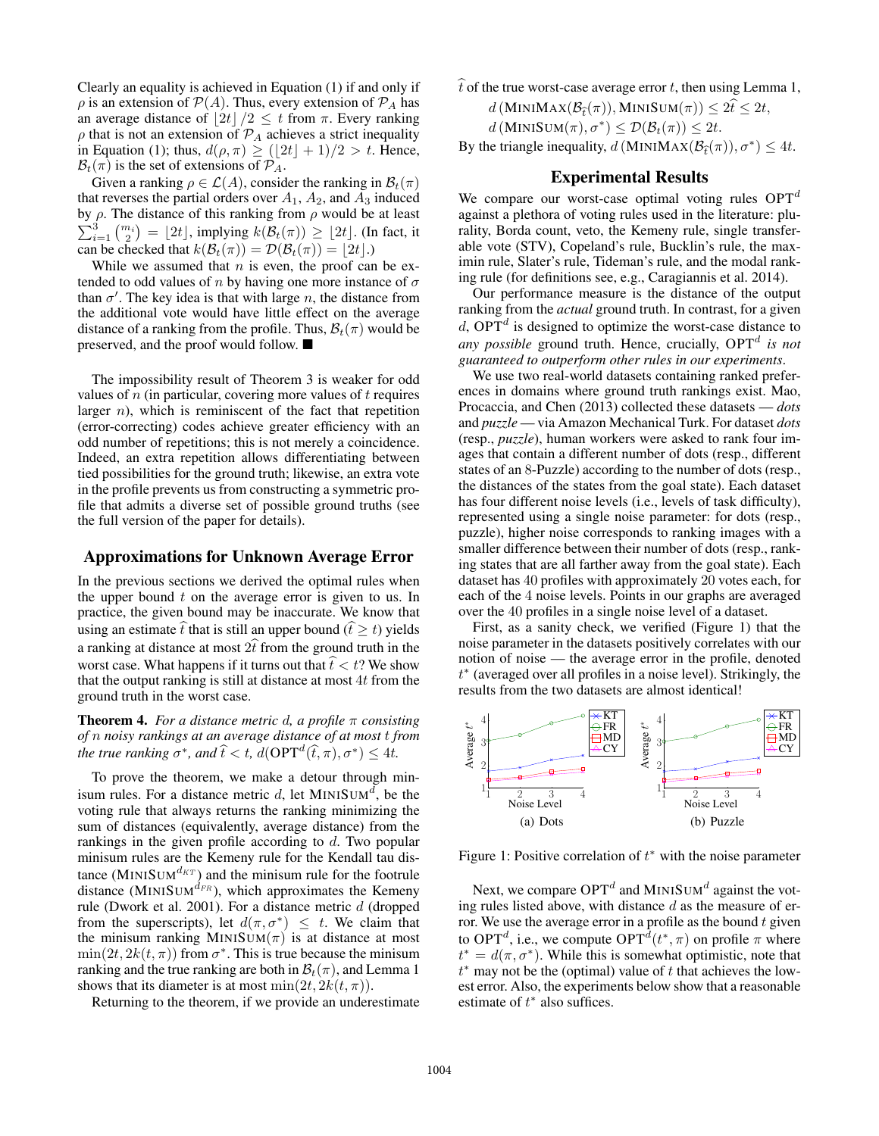Clearly an equality is achieved in Equation (1) if and only if  $\rho$  is an extension of  $P(A)$ . Thus, every extension of  $P_A$  has an average distance of  $\left| 2t \right| / 2 \le t$  from  $\pi$ . Every ranking  $\rho$  that is not an extension of  $\mathcal{P}_A$  achieves a strict inequality in Equation (1); thus,  $d(\rho, \pi) \geq (\lfloor 2t \rfloor + 1)/2 > t$ . Hence,  $\mathcal{B}_t(\pi)$  is the set of extensions of  $\mathcal{P}_A$ .

Given a ranking  $\rho \in \mathcal{L}(A)$ , consider the ranking in  $\mathcal{B}_t(\pi)$ that reverses the partial orders over  $A_1$ ,  $A_2$ , and  $A_3$  induced by  $\sum$ ρ. The distance of this ranking from ρ would be at least  $\frac{3}{i}$ <br>  $\binom{m_i}{2} = \lfloor 2t \rfloor$ , implying  $k(\mathcal{B}_t(\pi)) \geq \lfloor 2t \rfloor$ . (In fact, it can be checked that  $k(\mathcal{B}_t(\pi)) = \mathcal{D}(\mathcal{B}_t(\pi)) = |2t|$ .)

While we assumed that  $n$  is even, the proof can be extended to odd values of n by having one more instance of  $\sigma$ than  $\sigma'$ . The key idea is that with large n, the distance from the additional vote would have little effect on the average distance of a ranking from the profile. Thus,  $\mathcal{B}_t(\pi)$  would be preserved, and the proof would follow.

The impossibility result of Theorem 3 is weaker for odd values of  $n$  (in particular, covering more values of  $t$  requires larger  $n$ ), which is reminiscent of the fact that repetition (error-correcting) codes achieve greater efficiency with an odd number of repetitions; this is not merely a coincidence. Indeed, an extra repetition allows differentiating between tied possibilities for the ground truth; likewise, an extra vote in the profile prevents us from constructing a symmetric profile that admits a diverse set of possible ground truths (see the full version of the paper for details).

### Approximations for Unknown Average Error

In the previous sections we derived the optimal rules when the upper bound  $t$  on the average error is given to us. In practice, the given bound may be inaccurate. We know that using an estimate  $\hat{t}$  that is still an upper bound ( $\hat{t} \geq t$ ) yields a ranking at distance at most  $2\hat{t}$  from the ground truth in the worst case. What happens if it turns out that  $\hat{t} < t$ ? We show that the output ranking is still at distance at most  $4t$  from the ground truth in the worst case.

**Theorem 4.** *For a distance metric d, a profile*  $\pi$  *consisting of* n *noisy rankings at an average distance of at most* t *from the true ranking*  $\sigma^*$ *, and*  $\hat{t} < t$ *, d*( $OPT$ <sup>*d*</sup> $(\hat{t}, \pi)$ *,* $\sigma^*$ )  $\leq 4t$ *.* 

To prove the theorem, we make a detour through minisum rules. For a distance metric d, let  $MINISUM<sup>d</sup>$ , be the voting rule that always returns the ranking minimizing the sum of distances (equivalently, average distance) from the rankings in the given profile according to  $d$ . Two popular minisum rules are the Kemeny rule for the Kendall tau distance (MINISUM<sup> $d_{KT}$ </sup>) and the minisum rule for the footrule distance (MINISUM $d_{FR}$ ), which approximates the Kemeny rule (Dwork et al. 2001). For a distance metric d (dropped from the superscripts), let  $d(\pi, \sigma^*) \leq t$ . We claim that the minisum ranking MINISUM $(\pi)$  is at distance at most  $\min(2t, 2k(t, \pi))$  from  $\sigma^*$ . This is true because the minisum ranking and the true ranking are both in  $\mathcal{B}_t(\pi)$ , and Lemma 1 shows that its diameter is at most  $\min(2t, 2k(t, \pi))$ .

Returning to the theorem, if we provide an underestimate

 $\hat{t}$  of the true worst-case average error t, then using Lemma 1,

 $d$  (MINIMAX( $\mathcal{B}_{\hat{t}}(\pi)$ ), MINISUM $(\pi)$ )  $\leq 2\hat{t} \leq 2t$ ,

$$
d\left(\text{MINISUM}(\pi), \sigma^*\right) \leq \mathcal{D}(\mathcal{B}_t(\pi)) \leq 2t.
$$

By the triangle inequality,  $d$  (MINIMAX $(\mathcal{B}_{\tilde{t}}(\pi))$ ,  $\sigma^*$ )  $\leq 4t$ .

## Experimental Results

We compare our worst-case optimal voting rules  $OPT<sup>d</sup>$ against a plethora of voting rules used in the literature: plurality, Borda count, veto, the Kemeny rule, single transferable vote (STV), Copeland's rule, Bucklin's rule, the maximin rule, Slater's rule, Tideman's rule, and the modal ranking rule (for definitions see, e.g., Caragiannis et al. 2014).

Our performance measure is the distance of the output ranking from the *actual* ground truth. In contrast, for a given  $d$ , OPT<sup> $d$ </sup> is designed to optimize the worst-case distance to *any possible* ground truth. Hence, crucially, OPT<sup>d</sup> is not *guaranteed to outperform other rules in our experiments*.

We use two real-world datasets containing ranked preferences in domains where ground truth rankings exist. Mao, Procaccia, and Chen (2013) collected these datasets — *dots* and *puzzle* — via Amazon Mechanical Turk. For dataset *dots* (resp., *puzzle*), human workers were asked to rank four images that contain a different number of dots (resp., different states of an 8-Puzzle) according to the number of dots (resp., the distances of the states from the goal state). Each dataset has four different noise levels (i.e., levels of task difficulty), represented using a single noise parameter: for dots (resp., puzzle), higher noise corresponds to ranking images with a smaller difference between their number of dots (resp., ranking states that are all farther away from the goal state). Each dataset has 40 profiles with approximately 20 votes each, for each of the 4 noise levels. Points in our graphs are averaged over the 40 profiles in a single noise level of a dataset.

First, as a sanity check, we verified (Figure 1) that the noise parameter in the datasets positively correlates with our notion of noise — the average error in the profile, denoted t ∗ (averaged over all profiles in a noise level). Strikingly, the results from the two datasets are almost identical!



Figure 1: Positive correlation of  $t^*$  with the noise parameter

Next, we compare  $OPT<sup>d</sup>$  and MINISUM<sup>d</sup> against the voting rules listed above, with distance  $d$  as the measure of error. We use the average error in a profile as the bound  $t$  given to OPT<sup>d</sup>, i.e., we compute  $\text{OPT}^d(t^*, \pi)$  on profile  $\pi$  where  $t^* = d(\pi, \sigma^*)$ . While this is somewhat optimistic, note that  $t^*$  may not be the (optimal) value of t that achieves the lowest error. Also, the experiments below show that a reasonable estimate of  $t^*$  also suffices.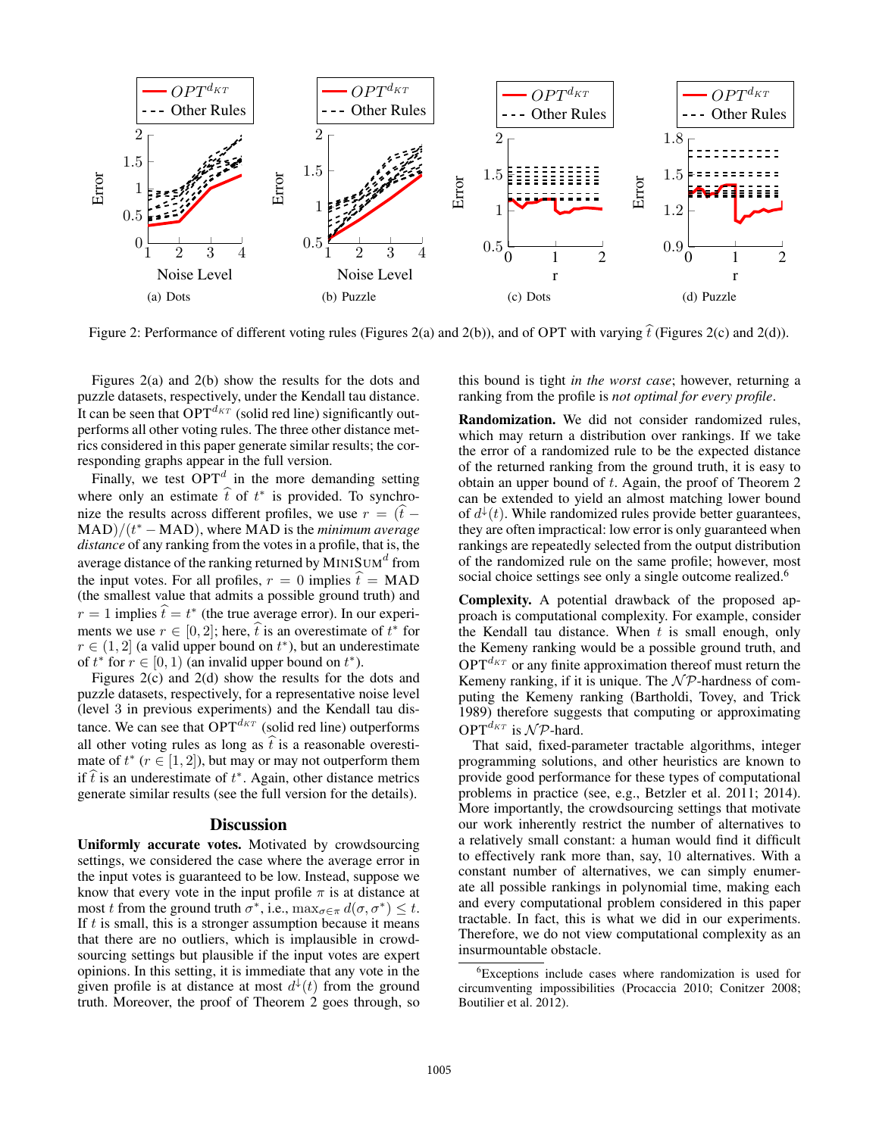

Figure 2: Performance of different voting rules (Figures 2(a) and 2(b)), and of OPT with varying  $\hat{t}$  (Figures 2(c) and 2(d)).

Figures 2(a) and 2(b) show the results for the dots and puzzle datasets, respectively, under the Kendall tau distance. It can be seen that  $OPT^{d_{KT}}$  (solid red line) significantly outperforms all other voting rules. The three other distance metrics considered in this paper generate similar results; the corresponding graphs appear in the full version.

Finally, we test  $OPT<sup>d</sup>$  in the more demanding setting where only an estimate  $\hat{t}$  of  $t^*$  is provided. To synchronize the results across different profiles, we use  $r = (\hat{t} - \hat{t})$  $\text{MAD}/(t^* - \text{MAD})$ , where  $\text{MAD}$  is the *minimum average distance* of any ranking from the votes in a profile, that is, the average distance of the ranking returned by  $\mathsf{MINISUM}^d$  from the input votes. For all profiles,  $r = 0$  implies  $\hat{t} = \text{MAD}$ (the smallest value that admits a possible ground truth) and  $r = 1$  implies  $\hat{t} = t^*$  (the true average error). In our experiments we use  $r \in [0, 2]$ ; here,  $\hat{t}$  is an overestimate of  $t^*$  for  $\infty \subset (1, 2]$  (a valid variant on  $t^*$ ), but an undergetimate  $r \in (1, 2]$  (a valid upper bound on  $t^*$ ), but an underestimate of  $t^*$  for  $r \in [0, 1)$  (an invalid upper bound on  $t^*$ ).

Figures 2(c) and 2(d) show the results for the dots and puzzle datasets, respectively, for a representative noise level (level 3 in previous experiments) and the Kendall tau distance. We can see that  $OPT^{d_{KT}}$  (solid red line) outperforms all other voting rules as long as  $\hat{t}$  is a reasonable overestimate of  $t^*$  ( $r \in [1,2]$ ), but may or may not outperform them if  $\hat{t}$  is an underestimate of  $t^*$ . Again, other distance metrics generate similar results (see the full version for the details).

#### **Discussion**

Uniformly accurate votes. Motivated by crowdsourcing settings, we considered the case where the average error in the input votes is guaranteed to be low. Instead, suppose we know that every vote in the input profile  $\pi$  is at distance at most t from the ground truth  $\sigma^*$ , i.e.,  $\max_{\sigma \in \pi} d(\sigma, \sigma^*) \leq t$ . If  $t$  is small, this is a stronger assumption because it means that there are no outliers, which is implausible in crowdsourcing settings but plausible if the input votes are expert opinions. In this setting, it is immediate that any vote in the given profile is at distance at most  $d^{\downarrow}(t)$  from the ground truth. Moreover, the proof of Theorem 2 goes through, so

this bound is tight *in the worst case*; however, returning a ranking from the profile is *not optimal for every profile*.

Randomization. We did not consider randomized rules, which may return a distribution over rankings. If we take the error of a randomized rule to be the expected distance of the returned ranking from the ground truth, it is easy to obtain an upper bound of t. Again, the proof of Theorem 2 can be extended to yield an almost matching lower bound of  $d^{\downarrow}(t)$ . While randomized rules provide better guarantees, they are often impractical: low error is only guaranteed when rankings are repeatedly selected from the output distribution of the randomized rule on the same profile; however, most social choice settings see only a single outcome realized.<sup>6</sup>

Complexity. A potential drawback of the proposed approach is computational complexity. For example, consider the Kendall tau distance. When  $t$  is small enough, only the Kemeny ranking would be a possible ground truth, and  $OPT^{d_{KT}}$  or any finite approximation thereof must return the Kemeny ranking, if it is unique. The  $N\mathcal{P}$ -hardness of computing the Kemeny ranking (Bartholdi, Tovey, and Trick 1989) therefore suggests that computing or approximating OPT<sup> $d_{KT}$ </sup> is  $\mathcal{NP}$ -hard.

That said, fixed-parameter tractable algorithms, integer programming solutions, and other heuristics are known to provide good performance for these types of computational problems in practice (see, e.g., Betzler et al. 2011; 2014). More importantly, the crowdsourcing settings that motivate our work inherently restrict the number of alternatives to a relatively small constant: a human would find it difficult to effectively rank more than, say, 10 alternatives. With a constant number of alternatives, we can simply enumerate all possible rankings in polynomial time, making each and every computational problem considered in this paper tractable. In fact, this is what we did in our experiments. Therefore, we do not view computational complexity as an insurmountable obstacle.

<sup>&</sup>lt;sup>6</sup>Exceptions include cases where randomization is used for circumventing impossibilities (Procaccia 2010; Conitzer 2008; Boutilier et al. 2012).